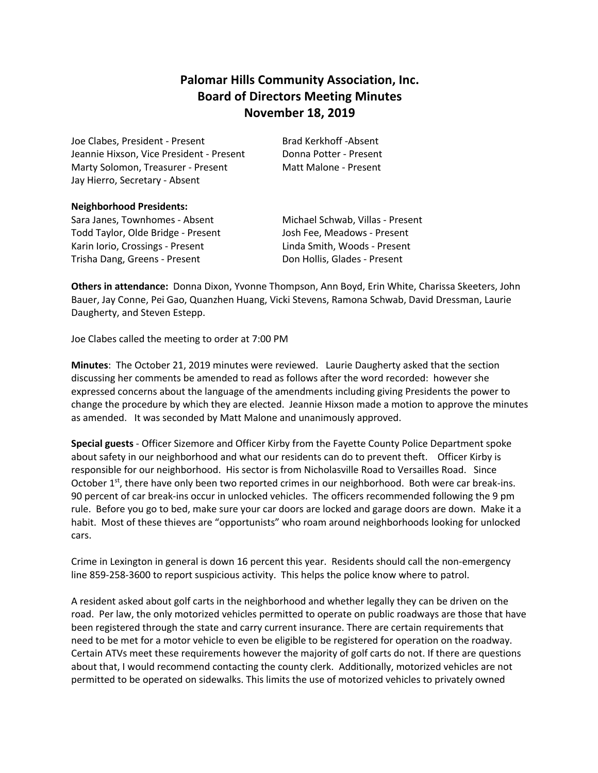# **Palomar Hills Community Association, Inc. Board of Directors Meeting Minutes November 18, 2019**

Joe Clabes, President - Present Brad Kerkhoff -Absent Jeannie Hixson, Vice President - Present Donna Potter - Present Marty Solomon, Treasurer - Present Matt Malone - Present Jay Hierro, Secretary - Absent

### **Neighborhood Presidents:**

Sara Janes, Townhomes - Absent Michael Schwab, Villas - Present Todd Taylor, Olde Bridge - Present Josh Fee, Meadows - Present Karin Iorio, Crossings - Present Linda Smith, Woods - Present Trisha Dang, Greens - Present **Don Hollis, Glades - Present** 

**Others in attendance:** Donna Dixon, Yvonne Thompson, Ann Boyd, Erin White, Charissa Skeeters, John Bauer, Jay Conne, Pei Gao, Quanzhen Huang, Vicki Stevens, Ramona Schwab, David Dressman, Laurie Daugherty, and Steven Estepp.

Joe Clabes called the meeting to order at 7:00 PM

**Minutes**: The October 21, 2019 minutes were reviewed. Laurie Daugherty asked that the section discussing her comments be amended to read as follows after the word recorded: however she expressed concerns about the language of the amendments including giving Presidents the power to change the procedure by which they are elected. Jeannie Hixson made a motion to approve the minutes as amended. It was seconded by Matt Malone and unanimously approved.

**Special guests** - Officer Sizemore and Officer Kirby from the Fayette County Police Department spoke about safety in our neighborhood and what our residents can do to prevent theft. Officer Kirby is responsible for our neighborhood. His sector is from Nicholasville Road to Versailles Road. Since October  $1<sup>st</sup>$ , there have only been two reported crimes in our neighborhood. Both were car break-ins. 90 percent of car break-ins occur in unlocked vehicles. The officers recommended following the 9 pm rule. Before you go to bed, make sure your car doors are locked and garage doors are down. Make it a habit. Most of these thieves are "opportunists" who roam around neighborhoods looking for unlocked cars.

Crime in Lexington in general is down 16 percent this year. Residents should call the non-emergency line 859-258-3600 to report suspicious activity. This helps the police know where to patrol.

A resident asked about golf carts in the neighborhood and whether legally they can be driven on the road. Per law, the only motorized vehicles permitted to operate on public roadways are those that have been registered through the state and carry current insurance. There are certain requirements that need to be met for a motor vehicle to even be eligible to be registered for operation on the roadway. Certain ATVs meet these requirements however the majority of golf carts do not. If there are questions about that, I would recommend contacting the county clerk. Additionally, motorized vehicles are not permitted to be operated on sidewalks. This limits the use of motorized vehicles to privately owned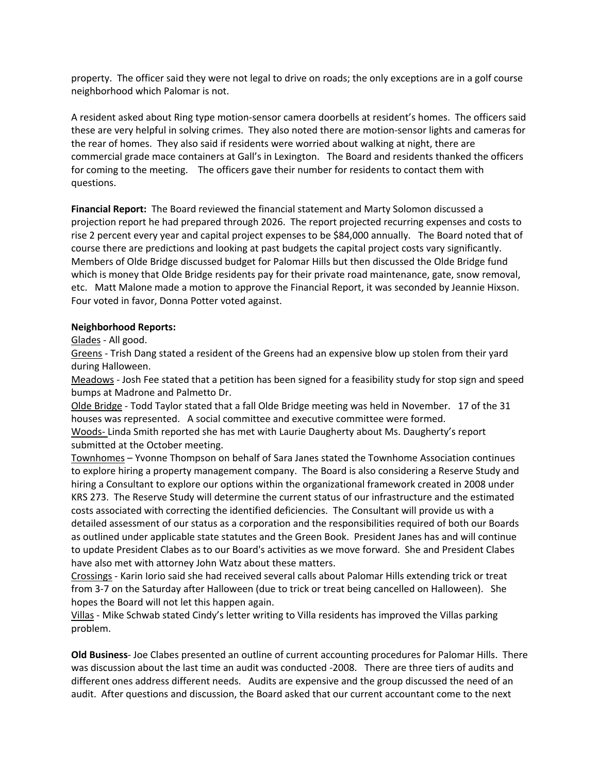property. The officer said they were not legal to drive on roads; the only exceptions are in a golf course neighborhood which Palomar is not.

A resident asked about Ring type motion-sensor camera doorbells at resident's homes. The officers said these are very helpful in solving crimes. They also noted there are motion-sensor lights and cameras for the rear of homes. They also said if residents were worried about walking at night, there are commercial grade mace containers at Gall's in Lexington. The Board and residents thanked the officers for coming to the meeting. The officers gave their number for residents to contact them with questions.

**Financial Report:** The Board reviewed the financial statement and Marty Solomon discussed a projection report he had prepared through 2026. The report projected recurring expenses and costs to rise 2 percent every year and capital project expenses to be \$84,000 annually. The Board noted that of course there are predictions and looking at past budgets the capital project costs vary significantly. Members of Olde Bridge discussed budget for Palomar Hills but then discussed the Olde Bridge fund which is money that Olde Bridge residents pay for their private road maintenance, gate, snow removal, etc. Matt Malone made a motion to approve the Financial Report, it was seconded by Jeannie Hixson. Four voted in favor, Donna Potter voted against.

### **Neighborhood Reports:**

Glades - All good.

Greens - Trish Dang stated a resident of the Greens had an expensive blow up stolen from their yard during Halloween.

Meadows - Josh Fee stated that a petition has been signed for a feasibility study for stop sign and speed bumps at Madrone and Palmetto Dr.

Olde Bridge - Todd Taylor stated that a fall Olde Bridge meeting was held in November. 17 of the 31 houses was represented. A social committee and executive committee were formed.

Woods- Linda Smith reported she has met with Laurie Daugherty about Ms. Daugherty's report submitted at the October meeting.

Townhomes – Yvonne Thompson on behalf of Sara Janes stated the Townhome Association continues to explore hiring a property management company. The Board is also considering a Reserve Study and hiring a Consultant to explore our options within the organizational framework created in 2008 under KRS 273. The Reserve Study will determine the current status of our infrastructure and the estimated costs associated with correcting the identified deficiencies. The Consultant will provide us with a detailed assessment of our status as a corporation and the responsibilities required of both our Boards as outlined under applicable state statutes and the Green Book. President Janes has and will continue to update President Clabes as to our Board's activities as we move forward. She and President Clabes have also met with attorney John Watz about these matters.

Crossings - Karin Iorio said she had received several calls about Palomar Hills extending trick or treat from 3-7 on the Saturday after Halloween (due to trick or treat being cancelled on Halloween). She hopes the Board will not let this happen again.

Villas - Mike Schwab stated Cindy's letter writing to Villa residents has improved the Villas parking problem.

**Old Business**- Joe Clabes presented an outline of current accounting procedures for Palomar Hills. There was discussion about the last time an audit was conducted -2008. There are three tiers of audits and different ones address different needs. Audits are expensive and the group discussed the need of an audit. After questions and discussion, the Board asked that our current accountant come to the next